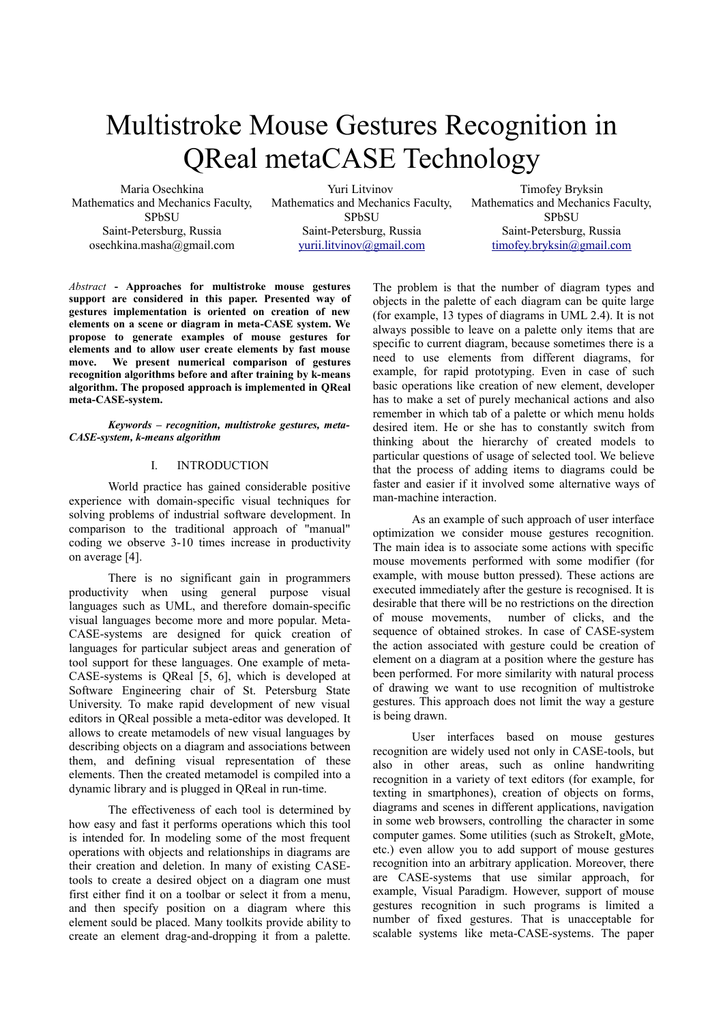# Multistroke Mouse Gestures Recognition in QReal metaCASE Technology

Maria Osechkina Mathematics and Mechanics Faculty, SPbSU Saint-Petersburg, Russia osechkina.masha@gmail.com

Yuri Litvinov Mathematics and Mechanics Faculty, SPbSU Saint-Petersburg, Russia [yurii.litvinov@gmail.com](mailto:yurii.litvinov@gmail.com)

Timofey Bryksin Mathematics and Mechanics Faculty, SPbSU Saint-Petersburg, Russia [timofey.bryksin@gmail.com](mailto:timofey.bryksin@gmail.com)

*Abstract* **- Approaches for multistroke mouse gestures support are considered in this paper. Presented way of gestures implementation is oriented on creation of new elements on a scene or diagram in meta-CASE system. We propose to generate examples of mouse gestures for elements and to allow user create elements by fast mouse move. We present numerical comparison of gestures recognition algorithms before and after training by k-means algorithm. The proposed approach is implemented in QReal meta-CASE-system.**

*Keywords – recognition, multistroke gestures, meta-CASE-system, k-means algorithm*

## I. INTRODUCTION

World practice has gained considerable positive experience with domain-specific visual techniques for solving problems of industrial software development. In comparison to the traditional approach of "manual" coding we observe 3-10 times increase in productivity on average [4].

There is no significant gain in programmers productivity when using general purpose visual languages such as UML, and therefore domain-specific visual languages become more and more popular. Meta-CASE-systems are designed for quick creation of languages for particular subject areas and generation of tool support for these languages. One example of meta-CASE-systems is QReal [5, 6], which is developed at Software Engineering chair of St. Petersburg State University. To make rapid development of new visual editors in QReal possible a meta-editor was developed. It allows to create metamodels of new visual languages by describing objects on a diagram and associations between them, and defining visual representation of these elements. Then the created metamodel is compiled into a dynamic library and is plugged in QReal in run-time.

The effectiveness of each tool is determined by how easy and fast it performs operations which this tool is intended for. In modeling some of the most frequent operations with objects and relationships in diagrams are their creation and deletion. In many of existing CASEtools to create a desired object on a diagram one must first either find it on a toolbar or select it from a menu, and then specify position on a diagram where this element sould be placed. Many toolkits provide ability to create an element drag-and-dropping it from a palette.

The problem is that the number of diagram types and objects in the palette of each diagram can be quite large (for example, 13 types of diagrams in UML 2.4). It is not always possible to leave on a palette only items that are specific to current diagram, because sometimes there is a need to use elements from different diagrams, for example, for rapid prototyping. Even in case of such basic operations like creation of new element, developer has to make a set of purely mechanical actions and also remember in which tab of a palette or which menu holds desired item. He or she has to constantly switch from thinking about the hierarchy of created models to particular questions of usage of selected tool. We believe that the process of adding items to diagrams could be faster and easier if it involved some alternative ways of man-machine interaction.

As an example of such approach of user interface optimization we consider mouse gestures recognition. The main idea is to associate some actions with specific mouse movements performed with some modifier (for example, with mouse button pressed). These actions are executed immediately after the gesture is recognised. It is desirable that there will be no restrictions on the direction of mouse movements, number of clicks, and the sequence of obtained strokes. In case of CASE-system the action associated with gesture could be creation of element on a diagram at a position where the gesture has been performed. For more similarity with natural process of drawing we want to use recognition of multistroke gestures. This approach does not limit the way a gesture is being drawn.

User interfaces based on mouse gestures recognition are widely used not only in CASE-tools, but also in other areas, such as online handwriting recognition in a variety of text editors (for example, for texting in smartphones), creation of objects on forms, diagrams and scenes in different applications, navigation in some web browsers, controlling the character in some computer games. Some utilities (such as StrokeIt, gMote, etc.) even allow you to add support of mouse gestures recognition into an arbitrary application. Moreover, there are CASE-systems that use similar approach, for example, Visual Paradigm. However, support of mouse gestures recognition in such programs is limited a number of fixed gestures. That is unacceptable for scalable systems like meta-CASE-systems. The paper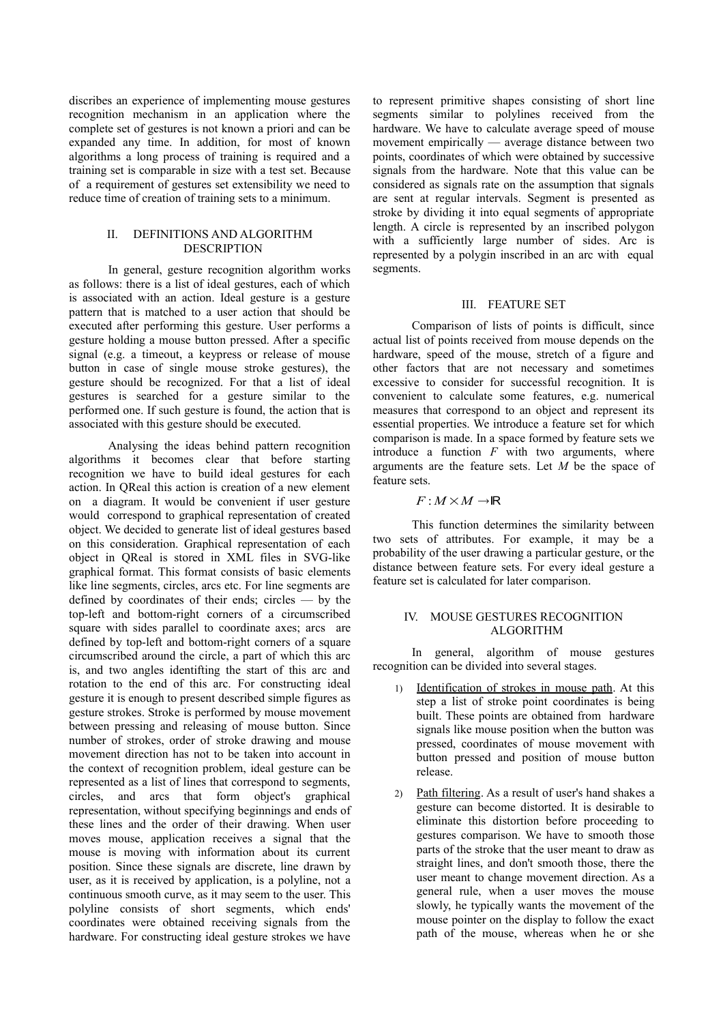discribes an experience of implementing mouse gestures recognition mechanism in an application where the complete set of gestures is not known a priori and can be expanded any time. In addition, for most of known algorithms a long process of training is required and a training set is comparable in size with a test set. Because of a requirement of gestures set extensibility we need to reduce time of creation of training sets to a minimum.

## II. DEFINITIONS AND ALGORITHM **DESCRIPTION**

In general, gesture recognition algorithm works as follows: there is a list of ideal gestures, each of which is associated with an action. Ideal gesture is a gesture pattern that is matched to a user action that should be executed after performing this gesture. User performs a gesture holding a mouse button pressed. After a specific signal (e.g. a timeout, a keypress or release of mouse button in case of single mouse stroke gestures), the gesture should be recognized. For that a list of ideal gestures is searched for a gesture similar to the performed one. If such gesture is found, the action that is associated with this gesture should be executed.

Analysing the ideas behind pattern recognition algorithms it becomes clear that before starting recognition we have to build ideal gestures for each action. In QReal this action is creation of a new element on a diagram. It would be convenient if user gesture would correspond to graphical representation of created object. We decided to generate list of ideal gestures based on this consideration. Graphical representation of each object in QReal is stored in XML files in SVG-like graphical format. This format consists of basic elements like line segments, circles, arcs etc. For line segments are defined by coordinates of their ends; circles — by the top-left and bottom-right corners of a circumscribed square with sides parallel to coordinate axes; arcs are defined by top-left and bottom-right corners of a square circumscribed around the circle, a part of which this arc is, and two angles identifting the start of this arc and rotation to the end of this arc. For constructing ideal gesture it is enough to present described simple figures as gesture strokes. Stroke is performed by mouse movement between pressing and releasing of mouse button. Since number of strokes, order of stroke drawing and mouse movement direction has not to be taken into account in the context of recognition problem, ideal gesture can be represented as a list of lines that correspond to segments, circles, and arcs that form object's graphical representation, without specifying beginnings and ends of these lines and the order of their drawing. When user moves mouse, application receives a signal that the mouse is moving with information about its current position. Since these signals are discrete, line drawn by user, as it is received by application, is a polyline, not a continuous smooth curve, as it may seem to the user. This polyline consists of short segments, which ends' coordinates were obtained receiving signals from the hardware. For constructing ideal gesture strokes we have

to represent primitive shapes consisting of short line segments similar to polylines received from the hardware. We have to calculate average speed of mouse movement empirically — average distance between two points, coordinates of which were obtained by successive signals from the hardware. Note that this value can be considered as signals rate on the assumption that signals are sent at regular intervals. Segment is presented as stroke by dividing it into equal segments of appropriate length. A circle is represented by an inscribed polygon with a sufficiently large number of sides. Arc is represented by a polygin inscribed in an arc with equal segments.

## III. FEATURE SET

Comparison of lists of points is difficult, since actual list of points received from mouse depends on the hardware, speed of the mouse, stretch of a figure and other factors that are not necessary and sometimes excessive to consider for successful recognition. It is convenient to calculate some features, e.g. numerical measures that correspond to an object and represent its essential properties. We introduce a feature set for which comparison is made. In a space formed by feature sets we introduce a function  $F$  with two arguments, where arguments are the feature sets. Let *M* be the space of feature sets.

## $F : M \times M \rightarrow \mathbb{R}$

This function determines the similarity between two sets of attributes. For example, it may be a probability of the user drawing a particular gesture, or the distance between feature sets. For every ideal gesture a feature set is calculated for later comparison.

## IV. MOUSE GESTURES RECOGNITION ALGORITHM

In general, algorithm of mouse gestures recognition can be divided into several stages.

- 1) Identification of strokes in mouse path. At this step a list of stroke point coordinates is being built. These points are obtained from hardware signals like mouse position when the button was pressed, coordinates of mouse movement with button pressed and position of mouse button release.
- 2) Path filtering. As a result of user's hand shakes a gesture can become distorted. It is desirable to eliminate this distortion before proceeding to gestures comparison. We have to smooth those parts of the stroke that the user meant to draw as straight lines, and don't smooth those, there the user meant to change movement direction. As a general rule, when a user moves the mouse slowly, he typically wants the movement of the mouse pointer on the display to follow the exact path of the mouse, whereas when he or she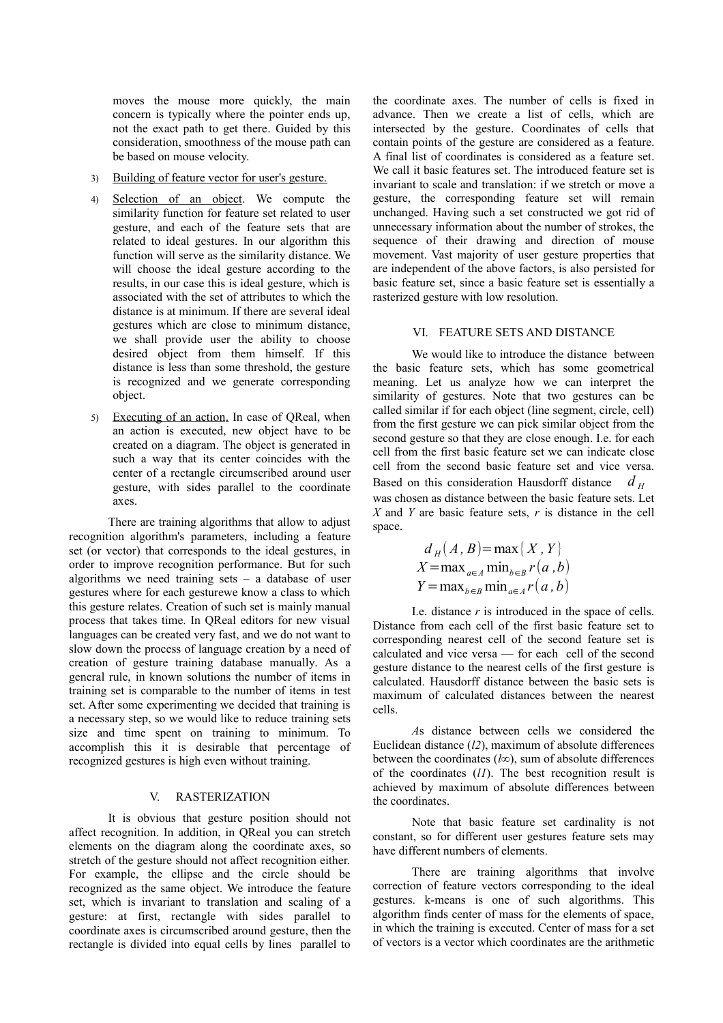moves the mouse more quickly, the main concern is typically where the pointer ends up, not the exact path to get there. Guided by this consideration, smoothness of the mouse path can be based on mouse velocity.

- 3) Building of feature vector for user's gesture.
- 4) Selection of an object. We compute the similarity function for feature set related to user gesture, and each of the feature sets that are related to ideal gestures. In our algorithm this function will serve as the similarity distance. We will choose the ideal gesture according to the results, in our case this is ideal gesture, which is associated with the set of attributes to which the distance is at minimum. If there are several ideal gestures which are close to minimum distance, we shall provide user the ability to choose desired object from them himself. If this distance is less than some threshold, the gesture is recognized and we generate corresponding object.
- 5) Executing of an action. In case of QReal, when an action is executed, new object have to be created on a diagram. The object is generated in such a way that its center coincides with the center of a rectangle circumscribed around user gesture, with sides parallel to the coordinate axes.

There are training algorithms that allow to adjust recognition algorithm's parameters, including a feature set (or vector) that corresponds to the ideal gestures, in order to improve recognition performance. But for such algorithms we need training sets  $-$  a database of user gestures where for each gesturewe know a class to which this gesture relates. Creation of such set is mainly manual process that takes time. In QReal editors for new visual languages can be created very fast, and we do not want to slow down the process of language creation by a need of creation of gesture training database manually. As a general rule, in known solutions the number of items in training set is comparable to the number of items in test set. After some experimenting we decided that training is a necessary step, so we would like to reduce training sets size and time spent on training to minimum. To accomplish this it is desirable that percentage of recognized gestures is high even without training.

## V. RASTERIZATION

It is obvious that gesture position should not affect recognition. In addition, in QReal you can stretch elements on the diagram along the coordinate axes, so stretch of the gesture should not affect recognition either. For example, the ellipse and the circle should be recognized as the same object. We introduce the feature set, which is invariant to translation and scaling of a gesture: at first, rectangle with sides parallel to coordinate axes is circumscribed around gesture, then the rectangle is divided into equal cells by lines parallel to the coordinate axes. The number of cells is fixed in advance. Then we create a list of cells, which are intersected by the gesture. Coordinates of cells that contain points of the gesture are considered as a feature. A final list of coordinates is considered as a feature set. We call it basic features set. The introduced feature set is invariant to scale and translation: if we stretch or move a gesture, the corresponding feature set will remain unchanged. Having such a set constructed we got rid of unnecessary information about the number of strokes, the sequence of their drawing and direction of mouse movement. Vast majority of user gesture properties that are independent of the above factors, is also persisted for basic feature set, since a basic feature set is essentially a rasterized gesture with low resolution.

## VI. FEATURE SETS AND DISTANCE

We would like to introduce the distance between the basic feature sets, which has some geometrical meaning. Let us analyze how we can interpret the similarity of gestures. Note that two gestures can be called similar if for each object (line segment, circle, cell) from the first gesture we can pick similar object from the second gesture so that they are close enough. I.e. for each cell from the first basic feature set we can indicate close cell from the second basic feature set and vice versa. Based on this consideration Hausdorff distance *d <sup>H</sup>* was chosen as distance between the basic feature sets. Let *X* and *Y* are basic feature sets, *r* is distance in the cell space.

$$
d_H(A, B) = \max\{X, Y\}
$$
  

$$
X = \max_{a \in A} \min_{b \in B} r(a, b)
$$
  

$$
Y = \max_{b \in B} \min_{a \in A} r(a, b)
$$

I.e. distance *r* is introduced in the space of cells. Distance from each cell of the first basic feature set to corresponding nearest cell of the second feature set is calculated and vice versa — for each cell of the second gesture distance to the nearest cells of the first gesture is calculated. Hausdorff distance between the basic sets is maximum of calculated distances between the nearest cells.

*A*s distance between cells we considered the Euclidean distance (*l2*), maximum of absolute differences between the coordinates (*l∞*), sum of absolute differences of the coordinates (*l1*). The best recognition result is achieved by maximum of absolute differences between the coordinates.

Note that basic feature set cardinality is not constant, so for different user gestures feature sets may have different numbers of elements.

There are training algorithms that involve correction of feature vectors corresponding to the ideal gestures. k-means is one of such algorithms. This algorithm finds center of mass for the elements of space, in which the training is executed. Center of mass for a set of vectors is a vector which coordinates are the arithmetic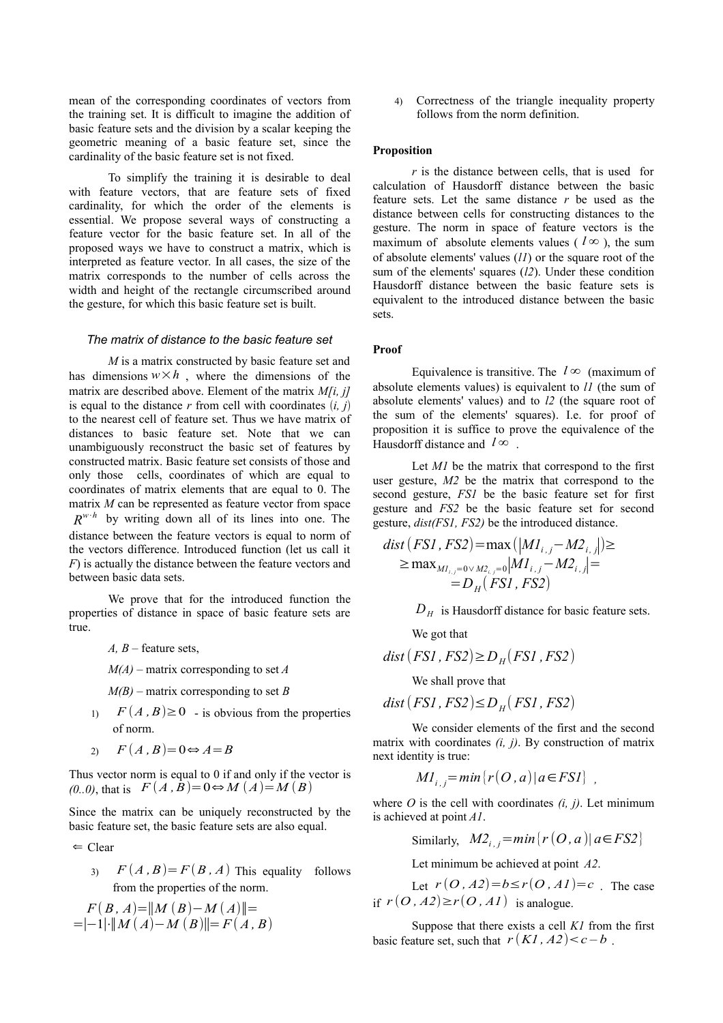mean of the corresponding coordinates of vectors from the training set. It is difficult to imagine the addition of basic feature sets and the division by a scalar keeping the geometric meaning of a basic feature set, since the cardinality of the basic feature set is not fixed.

To simplify the training it is desirable to deal with feature vectors, that are feature sets of fixed cardinality, for which the order of the elements is essential. We propose several ways of constructing a feature vector for the basic feature set. In all of the proposed ways we have to construct a matrix, which is interpreted as feature vector. In all cases, the size of the matrix corresponds to the number of cells across the width and height of the rectangle circumscribed around the gesture, for which this basic feature set is built.

### *The matrix of distance to the basic feature set*

*M* is a matrix constructed by basic feature set and has dimensions  $w \times h$ , where the dimensions of the matrix are described above. Element of the matrix *M[i, j]* is equal to the distance  $r$  from cell with coordinates  $(i, j)$ to the nearest cell of feature set. Thus we have matrix of distances to basic feature set. Note that we can unambiguously reconstruct the basic set of features by constructed matrix. Basic feature set consists of those and only those cells, coordinates of which are equal to coordinates of matrix elements that are equal to 0. The matrix *M* can be represented as feature vector from space  $R^{w \cdot h}$  by writing down all of its lines into one. The distance between the feature vectors is equal to norm of the vectors difference. Introduced function (let us call it *F*) is actually the distance between the feature vectors and between basic data sets.

We prove that for the introduced function the properties of distance in space of basic feature sets are true.

*A, B* – feature sets,

*M(A)* – matrix corresponding to set *A*

*M(B)* – matrix corresponding to set *B*

1)  $F(A, B) \ge 0$  - is obvious from the properties of norm.

$$
2) \qquad F(A,B)=0 \Leftrightarrow A=B
$$

Thus vector norm is equal to 0 if and only if the vector is *(0..0)*, that is  $F(A, B) = 0$ ⇔ *M*  $(A) = M(B)$ 

Since the matrix can be uniquely reconstructed by the basic feature set, the basic feature sets are also equal.

$$
\Leftarrow
$$
 Clear

3)  $F(A, B) = F(B, A)$  This equality follows from the properties of the norm.

$$
F(B, A) = ||M (B) – M (A)|| =
$$
  
=|-1|·||M (A) – M (B)||=F(A, B)

4) Correctness of the triangle inequality property follows from the norm definition.

#### **Proposition**

*r* is the distance between cells, that is used for calculation of Hausdorff distance between the basic feature sets. Let the same distance *r* be used as the distance between cells for constructing distances to the gesture. The norm in space of feature vectors is the maximum of absolute elements values ( $l^{\infty}$ ), the sum of absolute elements' values (*l1*) or the square root of the sum of the elements' squares (*l2*). Under these condition Hausdorff distance between the basic feature sets is equivalent to the introduced distance between the basic sets.

#### **Proof**

Equivalence is transitive. The  $l \infty$  (maximum of absolute elements values) is equivalent to *l1* (the sum of absolute elements' values) and to *l2* (the square root of the sum of the elements' squares). I.e. for proof of proposition it is suffice to prove the equivalence of the Hausdorff distance and  $l^{\infty}$ .

Let *M1* be the matrix that correspond to the first user gesture, *M2* be the matrix that correspond to the second gesture, *FS1* be the basic feature set for first gesture and *FS2* be the basic feature set for second gesture, *dist(FS1, FS2)* be the introduced distance.

$$
dist(FSI, FS2) = \max(|MI_{i,j} - M2_{i,j}|) \ge
$$
  
\n
$$
\ge \max_{MI_{i,j} = 0 \vee M2_{i,j} = 0} |MI_{i,j} - M2_{i,j}| =
$$
  
\n
$$
= D_H(FSI, FS2)
$$

 $D_H$  is Hausdorff distance for basic feature sets.

We got that

$$
dist(FSI, FS2) \ge D_H(FSI, FS2)
$$

We shall prove that

*dist* (*FS1 , FS2*)≤*D<sup>H</sup>* ( *FS1 , FS2*)

We consider elements of the first and the second matrix with coordinates *(i, j)*. By construction of matrix next identity is true:

$$
MI_{i,j} = min[r(O, a) | a \in FSI]
$$
,

where  $O$  is the cell with coordinates  $(i, j)$ . Let minimum is achieved at point *A1*.

Similarly, 
$$
M2_{i,j} = min{r(O,a) | a \in FS2}
$$

Let minimum be achieved at point *A2*.

Let  $r(O, A2)=b \le r(O, A1)=c$ . The case if  $r(O, A2) \ge r(O, AI)$  is analogue.

Suppose that there exists a cell *K1* from the first basic feature set, such that  $r(KI, A2) < c - b$ .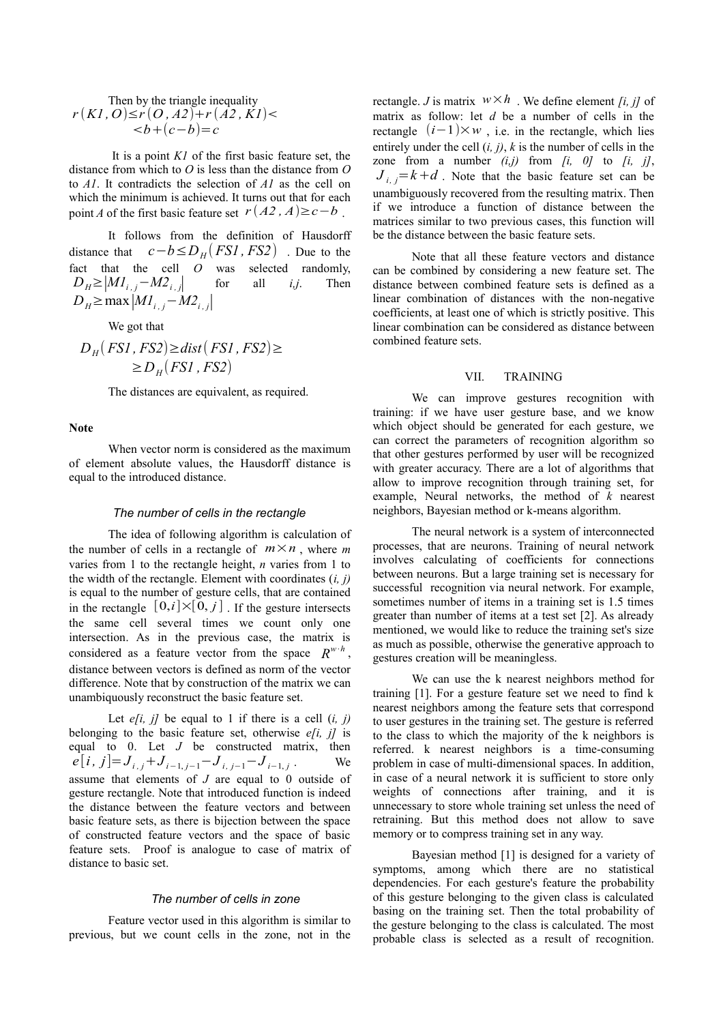Then by the triangle inequality  $r(KI, O) \le r(O, A2) + r(A2, KI)$  $**b**=**c**$ 

It is a point *K1* of the first basic feature set, the distance from which to *O* is less than the distance from *O* to *A1*. It contradicts the selection of *A1* as the cell on which the minimum is achieved. It turns out that for each point *A* of the first basic feature set  $r(A2, A) \ge c - b$ .

It follows from the definition of Hausdorff distance that  $c - b \le D_H(FS1, FS2)$  . Due to the fact that the cell *O* was selected randomly,  $D_H \ge |M_1|$ <sub>*i*.</sub> *j* - *M2*<sub>*i*.</sub> *j* for all *i,j*. Then *D*<sup>*H*</sup>≥max $|M$ <sup>*i*</sup> *i*<sub>*i*</sub> *j*<sup> $|$ </sup> *M2*<sup>*i*</sup> *j*<sub>*l*</sub>

We got that

$$
D_H(FSI, FS2) \ge dist(FSI, FS2) \ge
$$
  

$$
\ge D_H(FSI, FS2)
$$

The distances are equivalent, as required.

#### **Note**

When vector norm is considered as the maximum of element absolute values, the Hausdorff distance is equal to the introduced distance.

## *The number of cells in the rectangle*

The idea of following algorithm is calculation of the number of cells in a rectangle of  $m \times n$ , where *m* varies from 1 to the rectangle height, *n* varies from 1 to the width of the rectangle. Element with coordinates (*i, j)* is equal to the number of gesture cells, that are contained in the rectangle  $[0,i] \times [0,j]$ . If the gesture intersects the same cell several times we count only one intersection. As in the previous case, the matrix is considered as a feature vector from the space  $R^{w \cdot h}$ , distance between vectors is defined as norm of the vector difference. Note that by construction of the matrix we can unambiquously reconstruct the basic feature set.

Let  $e[i, j]$  be equal to 1 if there is a cell  $(i, j)$ belonging to the basic feature set, otherwise *e[i, j]* is equal to 0. Let  $J$  be constructed matrix, then  $e[i, j] = J_{i,j} + J_{i-1,j-1} - J_{i,j-1} - J_{i-1,j}$ . We assume that elements of *J* are equal to 0 outside of gesture rectangle. Note that introduced function is indeed the distance between the feature vectors and between basic feature sets, as there is bijection between the space of constructed feature vectors and the space of basic feature sets. Proof is analogue to case of matrix of distance to basic set.

# *The number of cells in zone*

Feature vector used in this algorithm is similar to previous, but we count cells in the zone, not in the rectangle. *J* is matrix  $w \times h$ . We define element *[i, j]* of matrix as follow: let *d* be a number of cells in the rectangle  $(i-1) \times w$ , i.e. in the rectangle, which lies entirely under the cell (*i, j)*, *k* is the number of cells in the zone from a number  $(i,j)$  from  $[i, 0]$  to  $[i, j]$ ,  $J_i$ ,  $=$   $k$  + *d*. Note that the basic feature set can be unambiguously recovered from the resulting matrix. Then if we introduce a function of distance between the matrices similar to two previous cases, this function will be the distance between the basic feature sets.

Note that all these feature vectors and distance can be combined by considering a new feature set. The distance between combined feature sets is defined as a linear combination of distances with the non-negative coefficients, at least one of which is strictly positive. This linear combination can be considered as distance between combined feature sets.

#### VII. TRAINING

We can improve gestures recognition with training: if we have user gesture base, and we know which object should be generated for each gesture, we can correct the parameters of recognition algorithm so that other gestures performed by user will be recognized with greater accuracy. There are a lot of algorithms that allow to improve recognition through training set, for example, Neural networks, the method of *k* nearest neighbors, Bayesian method or k-means algorithm.

The neural network is a system of interconnected processes, that are neurons. Training of neural network involves calculating of coefficients for connections between neurons. But a large training set is necessary for successful recognition via neural network. For example, sometimes number of items in a training set is 1.5 times greater than number of items at a test set [2]. As already mentioned, we would like to reduce the training set's size as much as possible, otherwise the generative approach to gestures creation will be meaningless.

We can use the k nearest neighbors method for training [1]. For a gesture feature set we need to find k nearest neighbors among the feature sets that correspond to user gestures in the training set. The gesture is referred to the class to which the majority of the k neighbors is referred. k nearest neighbors is a time-consuming problem in case of multi-dimensional spaces. In addition, in case of a neural network it is sufficient to store only weights of connections after training, and it is unnecessary to store whole training set unless the need of retraining. But this method does not allow to save memory or to compress training set in any way.

Bayesian method [1] is designed for a variety of symptoms, among which there are no statistical dependencies. For each gesture's feature the probability of this gesture belonging to the given class is calculated basing on the training set. Then the total probability of the gesture belonging to the class is calculated. The most probable class is selected as a result of recognition.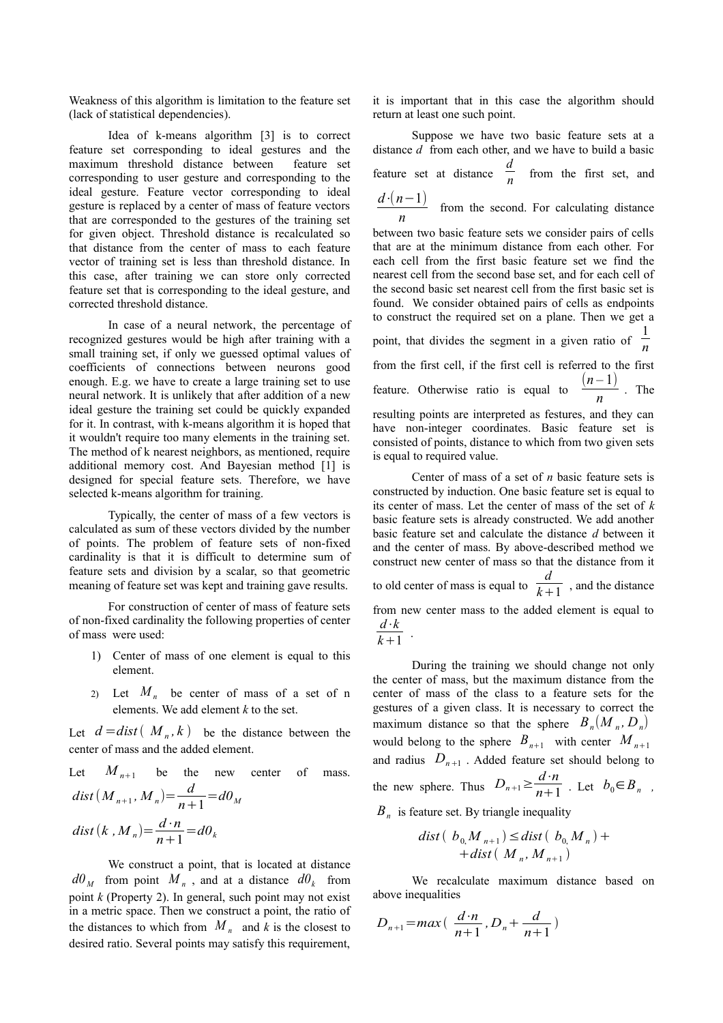Weakness of this algorithm is limitation to the feature set (lack of statistical dependencies).

Idea of k-means algorithm [3] is to correct feature set corresponding to ideal gestures and the maximum threshold distance between feature set corresponding to user gesture and corresponding to the ideal gesture. Feature vector corresponding to ideal gesture is replaced by a center of mass of feature vectors that are corresponded to the gestures of the training set for given object. Threshold distance is recalculated so that distance from the center of mass to each feature vector of training set is less than threshold distance. In this case, after training we can store only corrected feature set that is corresponding to the ideal gesture, and corrected threshold distance.

In case of a neural network, the percentage of recognized gestures would be high after training with a small training set, if only we guessed optimal values of coefficients of connections between neurons good enough. E.g. we have to create a large training set to use neural network. It is unlikely that after addition of a new ideal gesture the training set could be quickly expanded for it. In contrast, with k-means algorithm it is hoped that it wouldn't require too many elements in the training set. The method of k nearest neighbors, as mentioned, require additional memory cost. And Bayesian method [1] is designed for special feature sets. Therefore, we have selected k-means algorithm for training.

Typically, the center of mass of a few vectors is calculated as sum of these vectors divided by the number of points. The problem of feature sets of non-fixed cardinality is that it is difficult to determine sum of feature sets and division by a scalar, so that geometric meaning of feature set was kept and training gave results.

For construction of center of mass of feature sets of non-fixed cardinality the following properties of center of mass were used:

- 1) Center of mass of one element is equal to this element.
- 2) Let  $M_n$  be center of mass of a set of n elements. We add element *k* to the set.

Let  $d = dist(M_n, k)$  be the distance between the center of mass and the added element.

Let 
$$
M_{n+1}
$$
 be the new center of mass.  
\n $dist(M_{n+1}, M_n) = \frac{d}{n+1} = d\theta_M$   
\n $dist(k, M_n) = \frac{d \cdot n}{n+1} = d\theta_k$ 

We construct a point, that is located at distance  $d\theta_M$  from point  $M_n$ , and at a distance  $d\theta_k$  from point *k* (Property 2). In general, such point may not exist in a metric space. Then we construct a point, the ratio of the distances to which from  $M_n$  and k is the closest to desired ratio. Several points may satisfy this requirement,

it is important that in this case the algorithm should return at least one such point.

Suppose we have two basic feature sets at a distance *d* from each other, and we have to build a basic feature set at distance *d*  $\frac{1}{n}$  from the first set, and *d*⋅(*n*−1)

$$
\frac{a \cdot (n-1)}{n}
$$
 from the second. For calculating distance

between two basic feature sets we consider pairs of cells that are at the minimum distance from each other. For each cell from the first basic feature set we find the nearest cell from the second base set, and for each cell of the second basic set nearest cell from the first basic set is found. We consider obtained pairs of cells as endpoints to construct the required set on a plane. Then we get a point, that divides the segment in a given ratio of  $\frac{1}{n}$ *n* from the first cell, if the first cell is referred to the first feature. Otherwise ratio is equal to  $\frac{(n-1)}{n}$  $\frac{1}{n}$ . The resulting points are interpreted as festures, and they can have non-integer coordinates. Basic feature set is consisted of points, distance to which from two given sets is equal to required value.

Center of mass of a set of *n* basic feature sets is constructed by induction. One basic feature set is equal to its center of mass. Let the center of mass of the set of *k* basic feature sets is already constructed. We add another basic feature set and calculate the distance *d* between it and the center of mass. By above-described method we construct new center of mass so that the distance from it to old center of mass is equal to  $\frac{d}{dx}$  $\overline{k+1}$ , and the distance from new center mass to the added element is equal to *d*⋅*k*  $\frac{k+1}{k+1}$ .

During the training we should change not only the center of mass, but the maximum distance from the center of mass of the class to a feature sets for the gestures of a given class. It is necessary to correct the maximum distance so that the sphere  $B_n(M_n, D_n)$ would belong to the sphere  $B_{n+1}$  with center  $M_{n+1}$ and radius  $D_{n+1}$ . Added feature set should belong to the new sphere. Thus  $D_{n+1} \geq \frac{d \cdot n}{n+1}$  $\frac{a}{n+1}$ . Let  $b_0 \in B_n$ ,

*Bn* is feature set. By triangle inequality

$$
dist\left(\begin{array}{c} b_{0,}M_{n+1}\end{array}\right)\leq dist\left(\begin{array}{c} b_{0,}M_{n}\end{array}\right)++dist\left(\begin{array}{c} M_{n}, M_{n+1}\end{array}\right)
$$

We recalculate maximum distance based on above inequalities

$$
D_{n+1} = max\left(\frac{d \cdot n}{n+1}, D_n + \frac{d}{n+1}\right)
$$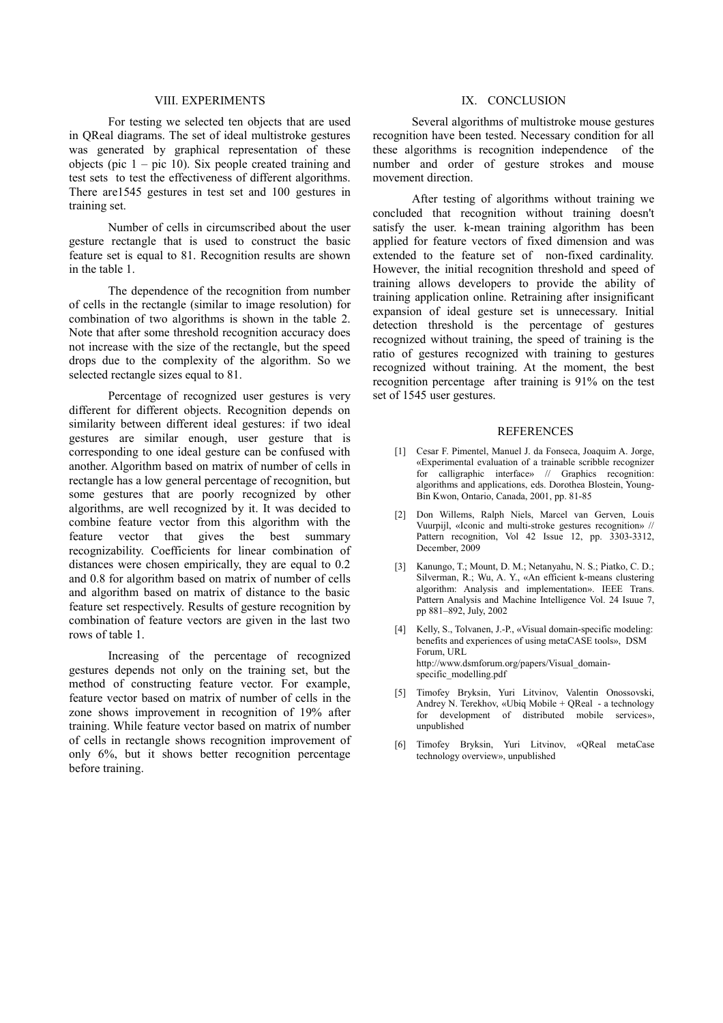## VIII. EXPERIMENTS

For testing we selected ten objects that are used in QReal diagrams. The set of ideal multistroke gestures was generated by graphical representation of these objects (pic  $1 -$  pic 10). Six people created training and test sets to test the effectiveness of different algorithms. There are1545 gestures in test set and 100 gestures in training set.

Number of cells in circumscribed about the user gesture rectangle that is used to construct the basic feature set is equal to 81. Recognition results are shown in the table 1.

The dependence of the recognition from number of cells in the rectangle (similar to image resolution) for combination of two algorithms is shown in the table 2. Note that after some threshold recognition accuracy does not increase with the size of the rectangle, but the speed drops due to the complexity of the algorithm. So we selected rectangle sizes equal to 81.

Percentage of recognized user gestures is very different for different objects. Recognition depends on similarity between different ideal gestures: if two ideal gestures are similar enough, user gesture that is corresponding to one ideal gesture can be confused with another. Algorithm based on matrix of number of cells in rectangle has a low general percentage of recognition, but some gestures that are poorly recognized by other algorithms, are well recognized by it. It was decided to combine feature vector from this algorithm with the feature vector that gives the best summary recognizability. Coefficients for linear combination of distances were chosen empirically, they are equal to 0.2 and 0.8 for algorithm based on matrix of number of cells and algorithm based on matrix of distance to the basic feature set respectively. Results of gesture recognition by combination of feature vectors are given in the last two rows of table 1.

Increasing of the percentage of recognized gestures depends not only on the training set, but the method of constructing feature vector. For example, feature vector based on matrix of number of cells in the zone shows improvement in recognition of 19% after training. While feature vector based on matrix of number of cells in rectangle shows recognition improvement of only 6%, but it shows better recognition percentage before training.

## IX. CONCLUSION

Several algorithms of multistroke mouse gestures recognition have been tested. Necessary condition for all these algorithms is recognition independence of the number and order of gesture strokes and mouse movement direction.

After testing of algorithms without training we concluded that recognition without training doesn't satisfy the user. k-mean training algorithm has been applied for feature vectors of fixed dimension and was extended to the feature set of non-fixed cardinality. However, the initial recognition threshold and speed of training allows developers to provide the ability of training application online. Retraining after insignificant expansion of ideal gesture set is unnecessary. Initial detection threshold is the percentage of gestures recognized without training, the speed of training is the ratio of gestures recognized with training to gestures recognized without training. At the moment, the best recognition percentage after training is 91% on the test set of 1545 user gestures.

## **REFERENCES**

- [1] Cesar F. Pimentel, Manuel J. da Fonseca, Joaquim A. Jorge, «Experimental evaluation of a trainable scribble recognizer for calligraphic interface» // Graphics recognition: algorithms and applications, eds. Dorothea Blostein, Young-Bin Kwon, Ontario, Canada, 2001, pp. 81-85
- [2] Don Willems, Ralph Niels, Marcel van Gerven, Louis Vuurpijl, «Iconic and multi-stroke gestures recognition» // Pattern recognition, Vol 42 Issue 12, pp. 3303-3312, December, 2009
- [3] Kanungo, T.; Mount, D. M.; Netanyahu, N. S.; Piatko, C. D.; Silverman, R.; Wu, A. Y., «An efficient k-means clustering algorithm: Analysis and implementation». IEEE Trans. Pattern Analysis and Machine Intelligence Vol. 24 Isuue 7, pp 881–892, July, 2002
- [4] Kelly, S., Tolvanen, J.-P., «Visual domain-specific modeling: benefits and experiences of using metaCASE tools», DSM Forum, URL http://www.dsmforum.org/papers/Visual\_domainspecific\_modelling.pdf
- [5] Timofey Bryksin, Yuri Litvinov, Valentin Onossovski, Andrey N. Terekhov, «Ubiq Mobile + QReal - a technology for development of distributed mobile services», unpublished
- [6] Timofey Bryksin, Yuri Litvinov, «QReal metaCase technology overview», unpublished